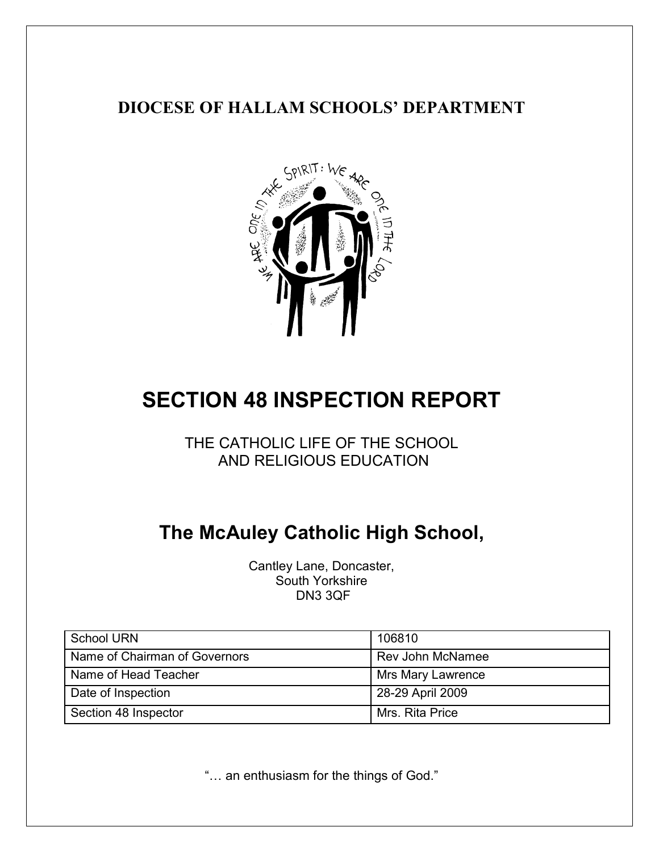## **DIOCESE OF HALLAM SCHOOLS' DEPARTMENT**



# **SECTION 48 INSPECTION REPORT**

THE CATHOLIC LIFE OF THE SCHOOL AND RELIGIOUS EDUCATION

## **The McAuley Catholic High School,**

Cantley Lane, Doncaster, South Yorkshire DN3 3QF

| <b>School URN</b>             | 106810                   |
|-------------------------------|--------------------------|
| Name of Chairman of Governors | Rev John McNamee         |
| Name of Head Teacher          | <b>Mrs Mary Lawrence</b> |
| Date of Inspection            | 28-29 April 2009         |
| Section 48 Inspector          | Mrs. Rita Price          |

"… an enthusiasm for the things of God."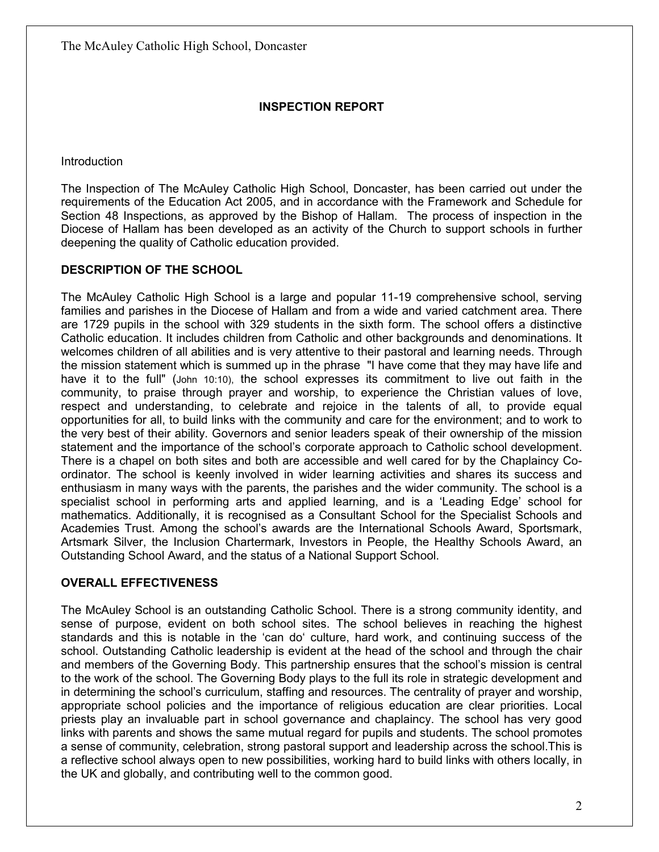#### **INSPECTION REPORT**

**Introduction** 

The Inspection of The McAuley Catholic High School, Doncaster, has been carried out under the requirements of the Education Act 2005, and in accordance with the Framework and Schedule for Section 48 Inspections, as approved by the Bishop of Hallam. The process of inspection in the Diocese of Hallam has been developed as an activity of the Church to support schools in further deepening the quality of Catholic education provided.

#### **DESCRIPTION OF THE SCHOOL**

The McAuley Catholic High School is a large and popular 11-19 comprehensive school, serving families and parishes in the Diocese of Hallam and from a wide and varied catchment area. There are 1729 pupils in the school with 329 students in the sixth form. The school offers a distinctive Catholic education. It includes children from Catholic and other backgrounds and denominations. It welcomes children of all abilities and is very attentive to their pastoral and learning needs. Through the mission statement which is summed up in the phrase "I have come that they may have life and have it to the full" (John 10:10), the school expresses its commitment to live out faith in the community, to praise through prayer and worship, to experience the Christian values of love, respect and understanding, to celebrate and rejoice in the talents of all, to provide equal opportunities for all, to build links with the community and care for the environment; and to work to the very best of their ability. Governors and senior leaders speak of their ownership of the mission statement and the importance of the school's corporate approach to Catholic school development. There is a chapel on both sites and both are accessible and well cared for by the Chaplaincy Coordinator. The school is keenly involved in wider learning activities and shares its success and enthusiasm in many ways with the parents, the parishes and the wider community. The school is a specialist school in performing arts and applied learning, and is a 'Leading Edge' school for mathematics. Additionally, it is recognised as a Consultant School for the Specialist Schools and Academies Trust. Among the school's awards are the International Schools Award, Sportsmark, Artsmark Silver, the Inclusion Chartermark, Investors in People, the Healthy Schools Award, an Outstanding School Award, and the status of a National Support School.

#### **OVERALL EFFECTIVENESS**

The McAuley School is an outstanding Catholic School. There is a strong community identity, and sense of purpose, evident on both school sites. The school believes in reaching the highest standards and this is notable in the 'can do' culture, hard work, and continuing success of the school. Outstanding Catholic leadership is evident at the head of the school and through the chair and members of the Governing Body. This partnership ensures that the school's mission is central to the work of the school. The Governing Body plays to the full its role in strategic development and in determining the school's curriculum, staffing and resources. The centrality of prayer and worship, appropriate school policies and the importance of religious education are clear priorities. Local priests play an invaluable part in school governance and chaplaincy. The school has very good links with parents and shows the same mutual regard for pupils and students. The school promotes a sense of community, celebration, strong pastoral support and leadership across the school.This is a reflective school always open to new possibilities, working hard to build links with others locally, in the UK and globally, and contributing well to the common good.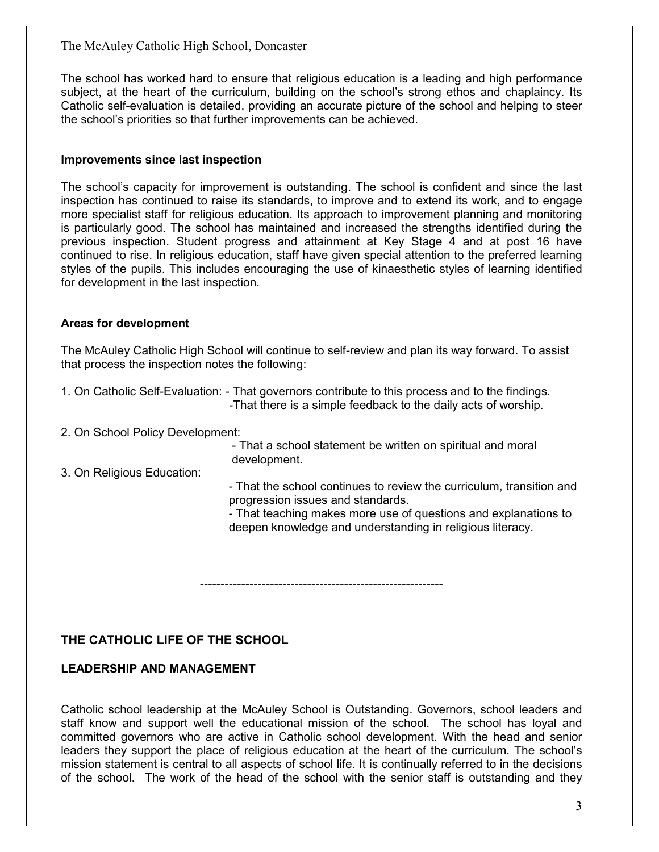The school has worked hard to ensure that religious education is a leading and high performance subject, at the heart of the curriculum, building on the school's strong ethos and chaplaincy. Its Catholic self-evaluation is detailed, providing an accurate picture of the school and helping to steer the school's priorities so that further improvements can be achieved.

#### **Improvements since last inspection**

The school's capacity for improvement is outstanding. The school is confident and since the last inspection has continued to raise its standards, to improve and to extend its work, and to engage more specialist staff for religious education. Its approach to improvement planning and monitoring is particularly good. The school has maintained and increased the strengths identified during the previous inspection. Student progress and attainment at Key Stage 4 and at post 16 have continued to rise. In religious education, staff have given special attention to the preferred learning styles of the pupils. This includes encouraging the use of kinaesthetic styles of learning identified for development in the last inspection.

#### **Areas for development**

The McAuley Catholic High School will continue to self-review and plan its way forward. To assist that process the inspection notes the following:

1. On Catholic Self-Evaluation: - That governors contribute to this process and to the findings. -That there is a simple feedback to the daily acts of worship.

2. On School Policy Development:

- That a school statement be written on spiritual and moral development.

3. On Religious Education:

- That the school continues to review the curriculum, transition and progression issues and standards.

- That teaching makes more use of questions and explanations to deepen knowledge and understanding in religious literacy.

-----------------------------------------------------------

#### **THE CATHOLIC LIFE OF THE SCHOOL**

#### **LEADERSHIP AND MANAGEMENT**

Catholic school leadership at the McAuley School is Outstanding. Governors, school leaders and staff know and support well the educational mission of the school. The school has loyal and committed governors who are active in Catholic school development. With the head and senior leaders they support the place of religious education at the heart of the curriculum. The school's mission statement is central to all aspects of school life. It is continually referred to in the decisions of the school. The work of the head of the school with the senior staff is outstanding and they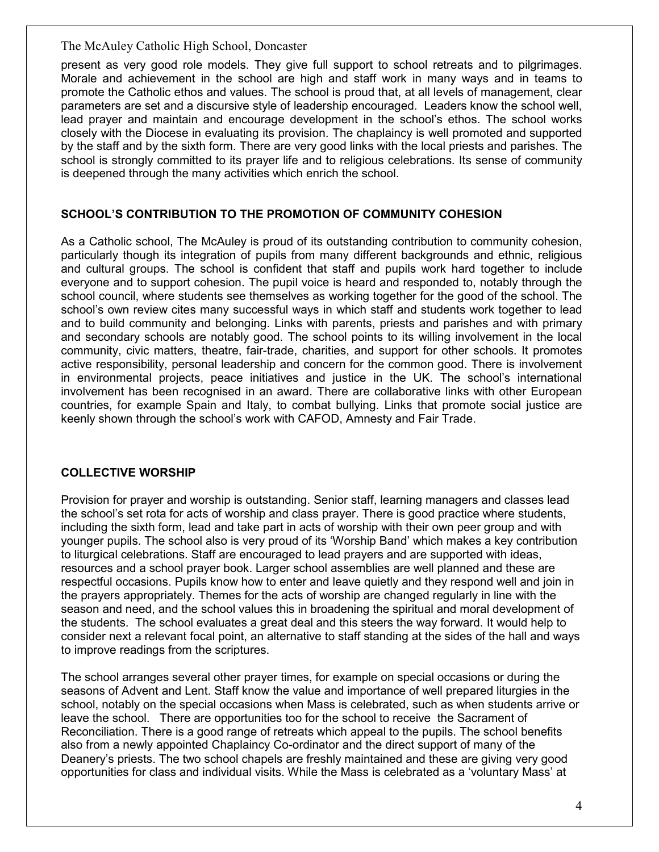present as very good role models. They give full support to school retreats and to pilgrimages. Morale and achievement in the school are high and staff work in many ways and in teams to promote the Catholic ethos and values. The school is proud that, at all levels of management, clear parameters are set and a discursive style of leadership encouraged. Leaders know the school well, lead prayer and maintain and encourage development in the school's ethos. The school works closely with the Diocese in evaluating its provision. The chaplaincy is well promoted and supported by the staff and by the sixth form. There are very good links with the local priests and parishes. The school is strongly committed to its prayer life and to religious celebrations. Its sense of community is deepened through the many activities which enrich the school.

#### **SCHOOL'S CONTRIBUTION TO THE PROMOTION OF COMMUNITY COHESION**

As a Catholic school, The McAuley is proud of its outstanding contribution to community cohesion, particularly though its integration of pupils from many different backgrounds and ethnic, religious and cultural groups. The school is confident that staff and pupils work hard together to include everyone and to support cohesion. The pupil voice is heard and responded to, notably through the school council, where students see themselves as working together for the good of the school. The school's own review cites many successful ways in which staff and students work together to lead and to build community and belonging. Links with parents, priests and parishes and with primary and secondary schools are notably good. The school points to its willing involvement in the local community, civic matters, theatre, fair-trade, charities, and support for other schools. It promotes active responsibility, personal leadership and concern for the common good. There is involvement in environmental projects, peace initiatives and justice in the UK. The school's international involvement has been recognised in an award. There are collaborative links with other European countries, for example Spain and Italy, to combat bullying. Links that promote social justice are keenly shown through the school's work with CAFOD, Amnesty and Fair Trade.

#### **COLLECTIVE WORSHIP**

Provision for prayer and worship is outstanding. Senior staff, learning managers and classes lead the school's set rota for acts of worship and class prayer. There is good practice where students, including the sixth form, lead and take part in acts of worship with their own peer group and with younger pupils. The school also is very proud of its 'Worship Band' which makes a key contribution to liturgical celebrations. Staff are encouraged to lead prayers and are supported with ideas, resources and a school prayer book. Larger school assemblies are well planned and these are respectful occasions. Pupils know how to enter and leave quietly and they respond well and join in the prayers appropriately. Themes for the acts of worship are changed regularly in line with the season and need, and the school values this in broadening the spiritual and moral development of the students. The school evaluates a great deal and this steers the way forward. It would help to consider next a relevant focal point, an alternative to staff standing at the sides of the hall and ways to improve readings from the scriptures.

The school arranges several other prayer times, for example on special occasions or during the seasons of Advent and Lent. Staff know the value and importance of well prepared liturgies in the school, notably on the special occasions when Mass is celebrated, such as when students arrive or leave the school. There are opportunities too for the school to receive the Sacrament of Reconciliation. There is a good range of retreats which appeal to the pupils. The school benefits also from a newly appointed Chaplaincy Co-ordinator and the direct support of many of the Deanery's priests. The two school chapels are freshly maintained and these are giving very good opportunities for class and individual visits. While the Mass is celebrated as a 'voluntary Mass' at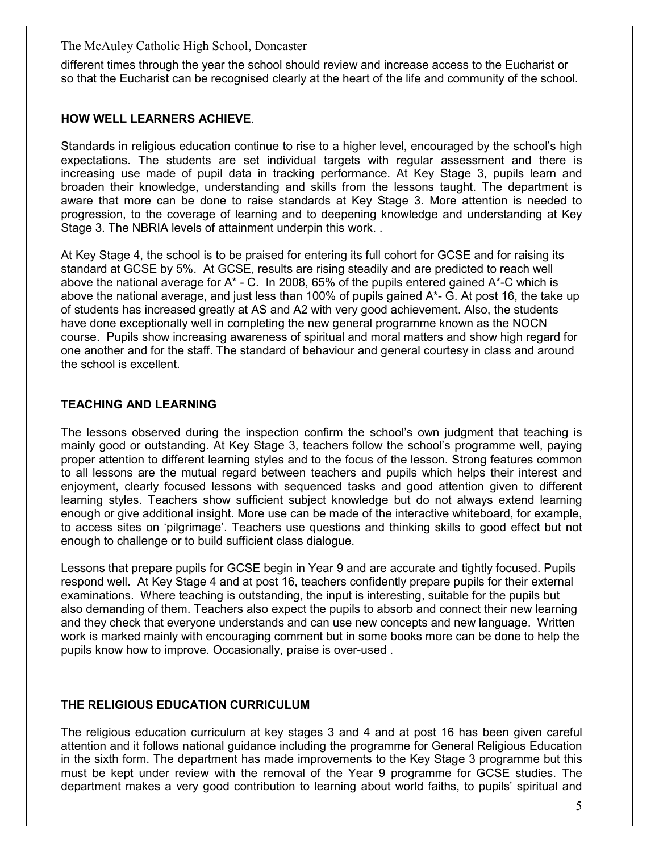different times through the year the school should review and increase access to the Eucharist or so that the Eucharist can be recognised clearly at the heart of the life and community of the school.

#### **HOW WELL LEARNERS ACHIEVE**.

Standards in religious education continue to rise to a higher level, encouraged by the school's high expectations. The students are set individual targets with regular assessment and there is increasing use made of pupil data in tracking performance. At Key Stage 3, pupils learn and broaden their knowledge, understanding and skills from the lessons taught. The department is aware that more can be done to raise standards at Key Stage 3. More attention is needed to progression, to the coverage of learning and to deepening knowledge and understanding at Key Stage 3. The NBRIA levels of attainment underpin this work. .

At Key Stage 4, the school is to be praised for entering its full cohort for GCSE and for raising its standard at GCSE by 5%. At GCSE, results are rising steadily and are predicted to reach well above the national average for  $A^*$  - C. In 2008, 65% of the pupils entered gained  $A^*$ -C which is above the national average, and just less than 100% of pupils gained A\*- G. At post 16, the take up of students has increased greatly at AS and A2 with very good achievement. Also, the students have done exceptionally well in completing the new general programme known as the NOCN course. Pupils show increasing awareness of spiritual and moral matters and show high regard for one another and for the staff. The standard of behaviour and general courtesy in class and around the school is excellent.

#### **TEACHING AND LEARNING**

The lessons observed during the inspection confirm the school's own judgment that teaching is mainly good or outstanding. At Key Stage 3, teachers follow the school's programme well, paying proper attention to different learning styles and to the focus of the lesson. Strong features common to all lessons are the mutual regard between teachers and pupils which helps their interest and enjoyment, clearly focused lessons with sequenced tasks and good attention given to different learning styles. Teachers show sufficient subject knowledge but do not always extend learning enough or give additional insight. More use can be made of the interactive whiteboard, for example, to access sites on 'pilgrimage'. Teachers use questions and thinking skills to good effect but not enough to challenge or to build sufficient class dialogue.

Lessons that prepare pupils for GCSE begin in Year 9 and are accurate and tightly focused. Pupils respond well. At Key Stage 4 and at post 16, teachers confidently prepare pupils for their external examinations. Where teaching is outstanding, the input is interesting, suitable for the pupils but also demanding of them. Teachers also expect the pupils to absorb and connect their new learning and they check that everyone understands and can use new concepts and new language. Written work is marked mainly with encouraging comment but in some books more can be done to help the pupils know how to improve. Occasionally, praise is over-used .

#### **THE RELIGIOUS EDUCATION CURRICULUM**

The religious education curriculum at key stages 3 and 4 and at post 16 has been given careful attention and it follows national guidance including the programme for General Religious Education in the sixth form. The department has made improvements to the Key Stage 3 programme but this must be kept under review with the removal of the Year 9 programme for GCSE studies. The department makes a very good contribution to learning about world faiths, to pupils' spiritual and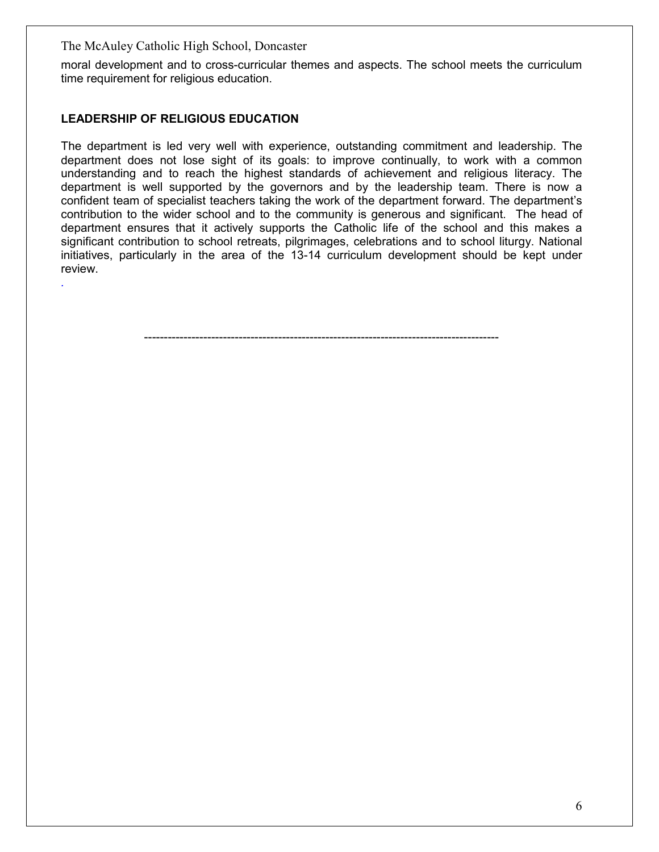moral development and to cross-curricular themes and aspects. The school meets the curriculum time requirement for religious education.

#### **LEADERSHIP OF RELIGIOUS EDUCATION**

*.* 

The department is led very well with experience, outstanding commitment and leadership. The department does not lose sight of its goals: to improve continually, to work with a common understanding and to reach the highest standards of achievement and religious literacy. The department is well supported by the governors and by the leadership team. There is now a confident team of specialist teachers taking the work of the department forward. The department's contribution to the wider school and to the community is generous and significant. The head of department ensures that it actively supports the Catholic life of the school and this makes a significant contribution to school retreats, pilgrimages, celebrations and to school liturgy. National initiatives, particularly in the area of the 13-14 curriculum development should be kept under review.

------------------------------------------------------------------------------------------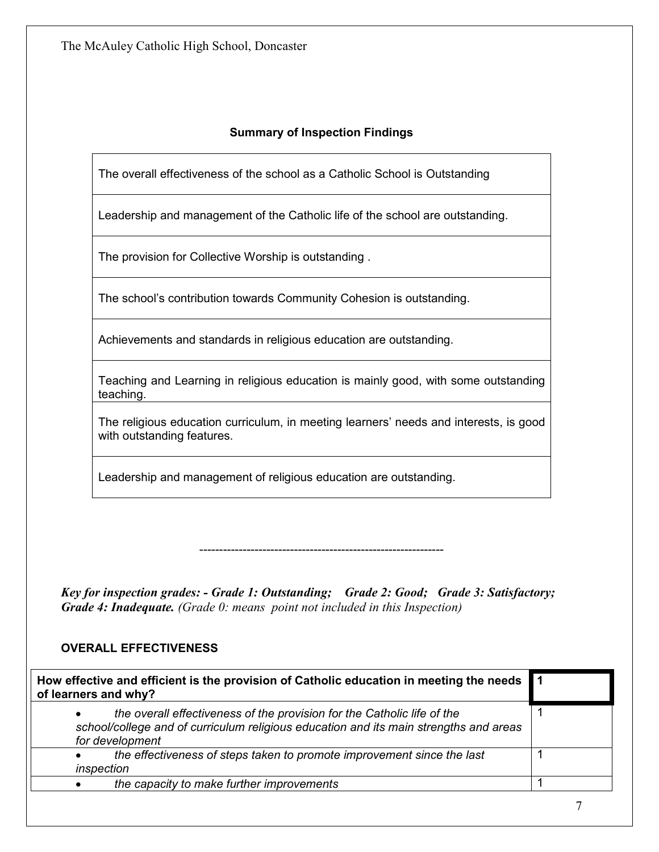#### **Summary of Inspection Findings**

The overall effectiveness of the school as a Catholic School is Outstanding

Leadership and management of the Catholic life of the school are outstanding.

The provision for Collective Worship is outstanding .

The school's contribution towards Community Cohesion is outstanding.

Achievements and standards in religious education are outstanding.

Teaching and Learning in religious education is mainly good, with some outstanding teaching.

The religious education curriculum, in meeting learners' needs and interests, is good with outstanding features.

--------------------------------------------------------------

Leadership and management of religious education are outstanding.

*Key for inspection grades: - Grade 1: Outstanding; Grade 2: Good; Grade 3: Satisfactory; Grade 4: Inadequate. (Grade 0: means point not included in this Inspection)* 

#### **OVERALL EFFECTIVENESS**

| How effective and efficient is the provision of Catholic education in meeting the needs 1<br>of learners and why?                                                                   |  |
|-------------------------------------------------------------------------------------------------------------------------------------------------------------------------------------|--|
| the overall effectiveness of the provision for the Catholic life of the<br>school/college and of curriculum religious education and its main strengths and areas<br>for development |  |
| the effectiveness of steps taken to promote improvement since the last<br>inspection                                                                                                |  |
| the capacity to make further improvements                                                                                                                                           |  |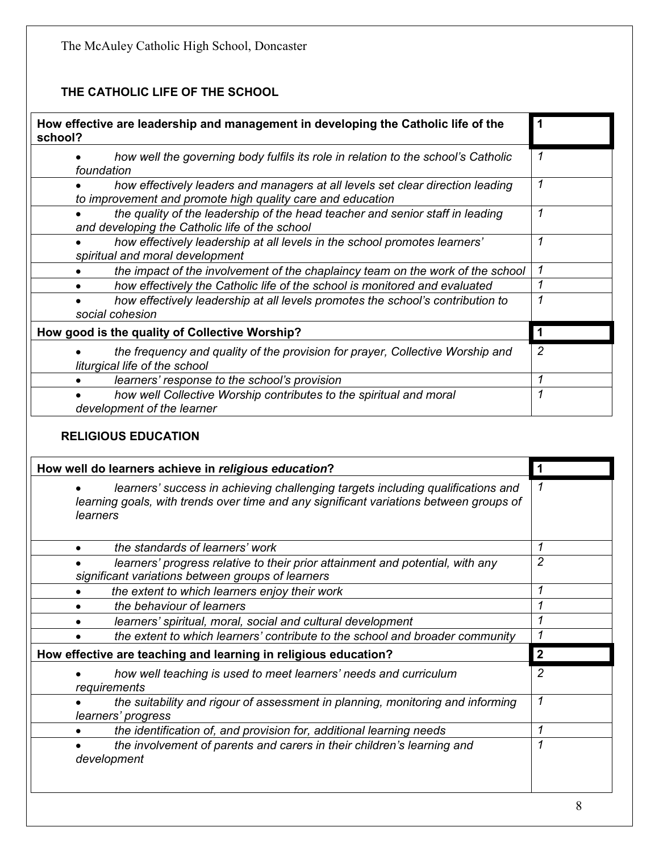### **THE CATHOLIC LIFE OF THE SCHOOL**

| How effective are leadership and management in developing the Catholic life of the<br>school?                                                |   |
|----------------------------------------------------------------------------------------------------------------------------------------------|---|
| how well the governing body fulfils its role in relation to the school's Catholic<br>foundation                                              | 1 |
| how effectively leaders and managers at all levels set clear direction leading<br>to improvement and promote high quality care and education | 1 |
| the quality of the leadership of the head teacher and senior staff in leading<br>and developing the Catholic life of the school              | 1 |
| how effectively leadership at all levels in the school promotes learners'<br>spiritual and moral development                                 | 1 |
| the impact of the involvement of the chaplaincy team on the work of the school                                                               | 1 |
| how effectively the Catholic life of the school is monitored and evaluated                                                                   |   |
| how effectively leadership at all levels promotes the school's contribution to<br>social cohesion                                            | 1 |
| How good is the quality of Collective Worship?                                                                                               |   |
| the frequency and quality of the provision for prayer, Collective Worship and<br>liturgical life of the school                               | 2 |
| learners' response to the school's provision                                                                                                 | 1 |
| how well Collective Worship contributes to the spiritual and moral<br>development of the learner                                             | 1 |

#### **RELIGIOUS EDUCATION**

| How well do learners achieve in religious education?                                                                                                                                  |                                                                                                                                    |              |
|---------------------------------------------------------------------------------------------------------------------------------------------------------------------------------------|------------------------------------------------------------------------------------------------------------------------------------|--------------|
| learners' success in achieving challenging targets including qualifications and<br>learning goals, with trends over time and any significant variations between groups of<br>learners |                                                                                                                                    |              |
|                                                                                                                                                                                       | the standards of learners' work                                                                                                    | 1            |
|                                                                                                                                                                                       | learners' progress relative to their prior attainment and potential, with any<br>significant variations between groups of learners | 2            |
|                                                                                                                                                                                       | the extent to which learners enjoy their work                                                                                      |              |
|                                                                                                                                                                                       | the behaviour of learners                                                                                                          |              |
|                                                                                                                                                                                       | learners' spiritual, moral, social and cultural development                                                                        |              |
|                                                                                                                                                                                       | the extent to which learners' contribute to the school and broader community                                                       |              |
| How effective are teaching and learning in religious education?                                                                                                                       |                                                                                                                                    | $\mathbf{2}$ |
|                                                                                                                                                                                       | how well teaching is used to meet learners' needs and curriculum<br>requirements                                                   | 2            |
|                                                                                                                                                                                       | the suitability and rigour of assessment in planning, monitoring and informing<br>learners' progress                               | 1            |
|                                                                                                                                                                                       | the identification of, and provision for, additional learning needs                                                                |              |
|                                                                                                                                                                                       | the involvement of parents and carers in their children's learning and<br>development                                              |              |